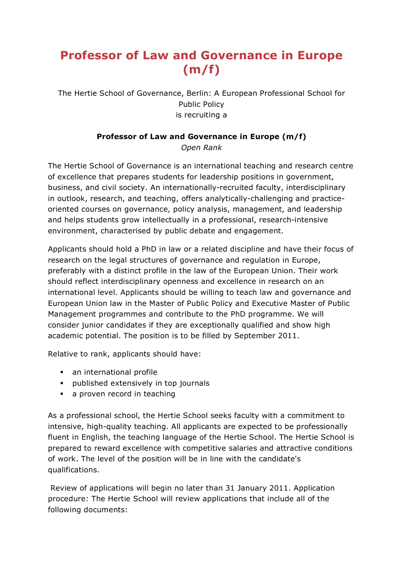## **Professor of Law and Governance in Europe (m/f)**

The Hertie School of Governance, Berlin: A European Professional School for Public Policy is recruiting a

## **Professor of Law and Governance in Europe (m/f)**

*Open Rank*

The Hertie School of Governance is an international teaching and research centre of excellence that prepares students for leadership positions in government, business, and civil society. An internationally-recruited faculty, interdisciplinary in outlook, research, and teaching, offers analytically-challenging and practiceoriented courses on governance, policy analysis, management, and leadership and helps students grow intellectually in a professional, research-intensive environment, characterised by public debate and engagement.

Applicants should hold a PhD in law or a related discipline and have their focus of research on the legal structures of governance and regulation in Europe, preferably with a distinct profile in the law of the European Union. Their work should reflect interdisciplinary openness and excellence in research on an international level. Applicants should be willing to teach law and governance and European Union law in the Master of Public Policy and Executive Master of Public Management programmes and contribute to the PhD programme. We will consider junior candidates if they are exceptionally qualified and show high academic potential. The position is to be filled by September 2011.

Relative to rank, applicants should have:

- an international profile
- **•** published extensively in top journals
- a proven record in teaching

As a professional school, the Hertie School seeks faculty with a commitment to intensive, high-quality teaching. All applicants are expected to be professionally fluent in English, the teaching language of the Hertie School. The Hertie School is prepared to reward excellence with competitive salaries and attractive conditions of work. The level of the position will be in line with the candidate's qualifications.

Review of applications will begin no later than 31 January 2011. Application procedure: The Hertie School will review applications that include all of the following documents: